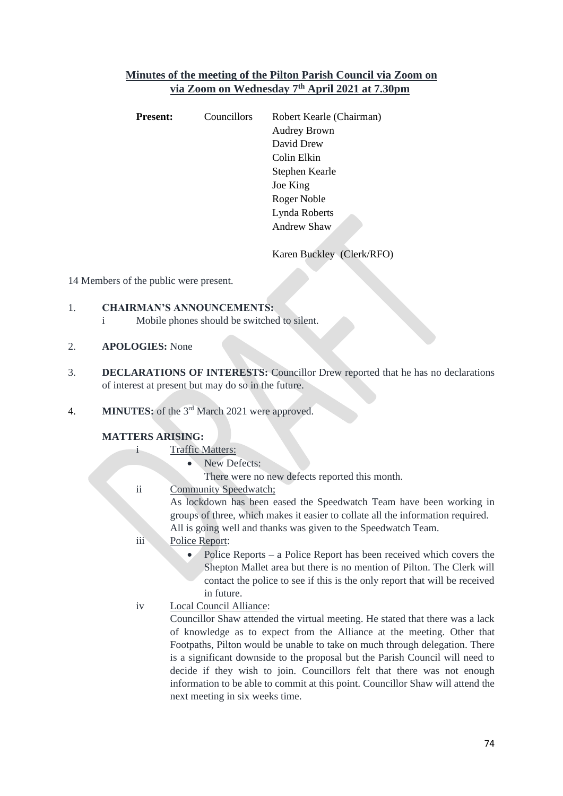# **Minutes of the meeting of the Pilton Parish Council via Zoom on via Zoom on Wednesday 7 th April 2021 at 7.30pm**

| <b>Present:</b> | <b>Councillors</b> | Robert Kearle (Chairman) |  |  |
|-----------------|--------------------|--------------------------|--|--|
|                 |                    | <b>Audrey Brown</b>      |  |  |
|                 |                    | David Drew               |  |  |
|                 |                    | Colin Elkin              |  |  |
|                 |                    | Stephen Kearle           |  |  |
|                 |                    | Joe King                 |  |  |
|                 |                    | Roger Noble              |  |  |
|                 |                    | Lynda Roberts            |  |  |
|                 |                    | <b>Andrew Shaw</b>       |  |  |
|                 |                    |                          |  |  |

Karen Buckley (Clerk/RFO)

14 Members of the public were present.

- 1. **CHAIRMAN'S ANNOUNCEMENTS:**
	- i Mobile phones should be switched to silent.
- 2. **APOLOGIES:** None
- 3. **DECLARATIONS OF INTERESTS:** Councillor Drew reported that he has no declarations of interest at present but may do so in the future.
- 4. **MINUTES:** of the 3<sup>rd</sup> March 2021 were approved.

## **MATTERS ARISING:**

- i Traffic Matters:
	- New Defects:
	- There were no new defects reported this month.
- ii Community Speedwatch;

As lockdown has been eased the Speedwatch Team have been working in groups of three, which makes it easier to collate all the information required. All is going well and thanks was given to the Speedwatch Team.

- iii Police Report:
	- Police Reports a Police Report has been received which covers the Shepton Mallet area but there is no mention of Pilton. The Clerk will contact the police to see if this is the only report that will be received in future.
- iv Local Council Alliance:

Councillor Shaw attended the virtual meeting. He stated that there was a lack of knowledge as to expect from the Alliance at the meeting. Other that Footpaths, Pilton would be unable to take on much through delegation. There is a significant downside to the proposal but the Parish Council will need to decide if they wish to join. Councillors felt that there was not enough information to be able to commit at this point. Councillor Shaw will attend the next meeting in six weeks time.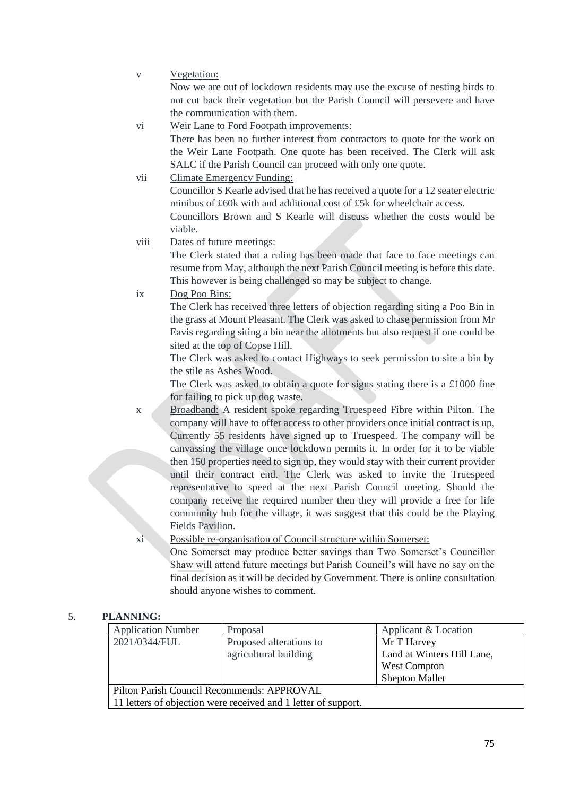v Vegetation:

Now we are out of lockdown residents may use the excuse of nesting birds to not cut back their vegetation but the Parish Council will persevere and have the communication with them.

vi Weir Lane to Ford Footpath improvements:

There has been no further interest from contractors to quote for the work on the Weir Lane Footpath. One quote has been received. The Clerk will ask SALC if the Parish Council can proceed with only one quote.

vii Climate Emergency Funding:

Councillor S Kearle advised that he has received a quote for a 12 seater electric minibus of £60k with and additional cost of £5k for wheelchair access.

Councillors Brown and S Kearle will discuss whether the costs would be viable.

viii Dates of future meetings:

The Clerk stated that a ruling has been made that face to face meetings can resume from May, although the next Parish Council meeting is before this date. This however is being challenged so may be subject to change.

ix Dog Poo Bins:

The Clerk has received three letters of objection regarding siting a Poo Bin in the grass at Mount Pleasant. The Clerk was asked to chase permission from Mr Eavis regarding siting a bin near the allotments but also request if one could be sited at the top of Copse Hill.

The Clerk was asked to contact Highways to seek permission to site a bin by the stile as Ashes Wood.

The Clerk was asked to obtain a quote for signs stating there is a £1000 fine for failing to pick up dog waste.

x Broadband: A resident spoke regarding Truespeed Fibre within Pilton. The company will have to offer access to other providers once initial contract is up, Currently 55 residents have signed up to Truespeed. The company will be canvassing the village once lockdown permits it. In order for it to be viable then 150 properties need to sign up, they would stay with their current provider until their contract end. The Clerk was asked to invite the Truespeed representative to speed at the next Parish Council meeting. Should the company receive the required number then they will provide a free for life community hub for the village, it was suggest that this could be the Playing Fields Pavilion.

xi Possible re-organisation of Council structure within Somerset:

One Somerset may produce better savings than Two Somerset's Councillor Shaw will attend future meetings but Parish Council's will have no say on the final decision as it will be decided by Government. There is online consultation should anyone wishes to comment.

## 5. **PLANNING:**

| <b>Application Number</b>                                      | Proposal                | Applicant & Location       |  |  |
|----------------------------------------------------------------|-------------------------|----------------------------|--|--|
| 2021/0344/FUL                                                  | Proposed alterations to | Mr T Harvey                |  |  |
|                                                                | agricultural building   | Land at Winters Hill Lane, |  |  |
|                                                                |                         | West Compton               |  |  |
|                                                                |                         | <b>Shepton Mallet</b>      |  |  |
| Pilton Parish Council Recommends: APPROVAL                     |                         |                            |  |  |
| 11 letters of objection were received and 1 letter of support. |                         |                            |  |  |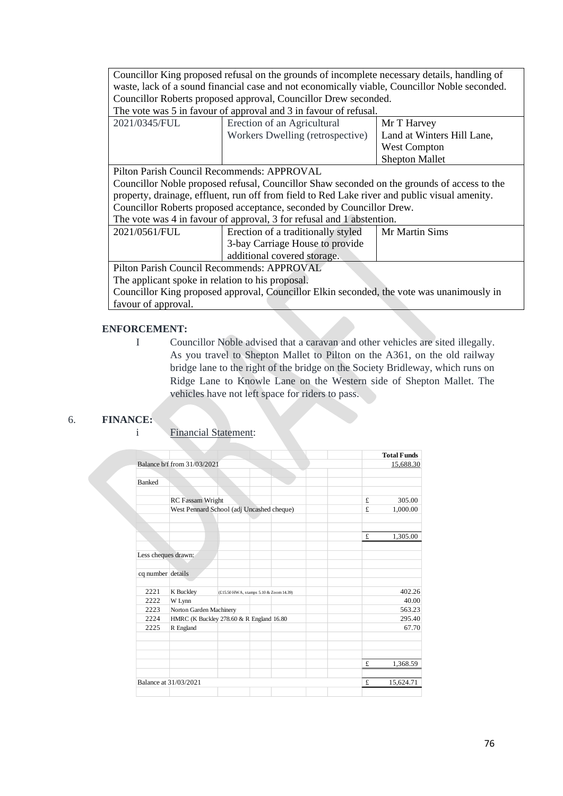Councillor King proposed refusal on the grounds of incomplete necessary details, handling of waste, lack of a sound financial case and not economically viable, Councillor Noble seconded. Councillor Roberts proposed approval, Councillor Drew seconded. The vote was 5 in favour of approval and 3 in favour of refusal.

| 2021/0345/FUL | Erection of an Agricultural      | Mr T Harvey                |
|---------------|----------------------------------|----------------------------|
|               | Workers Dwelling (retrospective) | Land at Winters Hill Lane, |
|               |                                  | West Compton               |
|               |                                  | <b>Shepton Mallet</b>      |

Pilton Parish Council Recommends: APPROVAL

Councillor Noble proposed refusal, Councillor Shaw seconded on the grounds of access to the property, drainage, effluent, run off from field to Red Lake river and public visual amenity. Councillor Roberts proposed acceptance, seconded by Councillor Drew.

| The vote was 4 in favour of approval, 3 for refusal and 1 abstention. |  |
|-----------------------------------------------------------------------|--|
|                                                                       |  |

| 2021/0561/FUL | Erection of a traditionally styled | Mr Martin Sims |
|---------------|------------------------------------|----------------|
|               | 3-bay Carriage House to provide    |                |
|               | additional covered storage.        |                |
|               |                                    |                |

Pilton Parish Council Recommends: APPROVAL The applicant spoke in relation to his proposal.

Councillor King proposed approval, Councillor Elkin seconded, the vote was unanimously in favour of approval.

## **ENFORCEMENT:**

I Councillor Noble advised that a caravan and other vehicles are sited illegally. As you travel to Shepton Mallet to Pilton on the A361, on the old railway bridge lane to the right of the bridge on the Society Bridleway, which runs on Ridge Lane to Knowle Lane on the Western side of Shepton Mallet. The vehicles have not left space for riders to pass.

## 6. **FINANCE:**

i Financial Statement:

|                     |                                           |                                        |  |  |        | <b>Total Funds</b> |
|---------------------|-------------------------------------------|----------------------------------------|--|--|--------|--------------------|
|                     | Balance b/f from 31/03/2021               |                                        |  |  |        | 15,688.30          |
|                     |                                           |                                        |  |  |        |                    |
| <b>Banked</b>       |                                           |                                        |  |  |        |                    |
|                     |                                           |                                        |  |  |        |                    |
|                     | <b>RC</b> Fassam Wright                   |                                        |  |  | £      | 305.00             |
|                     | West Pennard School (adj Uncashed cheque) |                                        |  |  | £      | 1,000.00           |
|                     |                                           |                                        |  |  |        |                    |
|                     |                                           |                                        |  |  |        |                    |
|                     |                                           |                                        |  |  | £      | 1,305.00           |
|                     |                                           |                                        |  |  |        |                    |
| Less cheques drawn: |                                           |                                        |  |  |        |                    |
|                     |                                           |                                        |  |  |        |                    |
| cq number details   |                                           |                                        |  |  |        |                    |
|                     |                                           |                                        |  |  |        |                    |
| 2221                | K Buckley                                 | (£15.50 HWA, stamps 5.10 & Zoom 14.39) |  |  |        | 402.26             |
| 2222                | W Lynn                                    |                                        |  |  |        | 40.00              |
| 2223                | Norton Garden Machinery                   |                                        |  |  | 563.23 |                    |
| 2224                | HMRC (K Buckley 278.60 & R England 16.80) |                                        |  |  | 295.40 |                    |
| 2225                | R England                                 |                                        |  |  |        | 67.70              |
|                     |                                           |                                        |  |  |        |                    |
|                     |                                           |                                        |  |  |        |                    |
|                     |                                           |                                        |  |  |        |                    |
|                     |                                           |                                        |  |  | £      | 1,368.59           |
|                     | Balance at 31/03/2021                     |                                        |  |  | £      | 15,624.71          |
|                     |                                           |                                        |  |  |        |                    |
|                     |                                           |                                        |  |  |        |                    |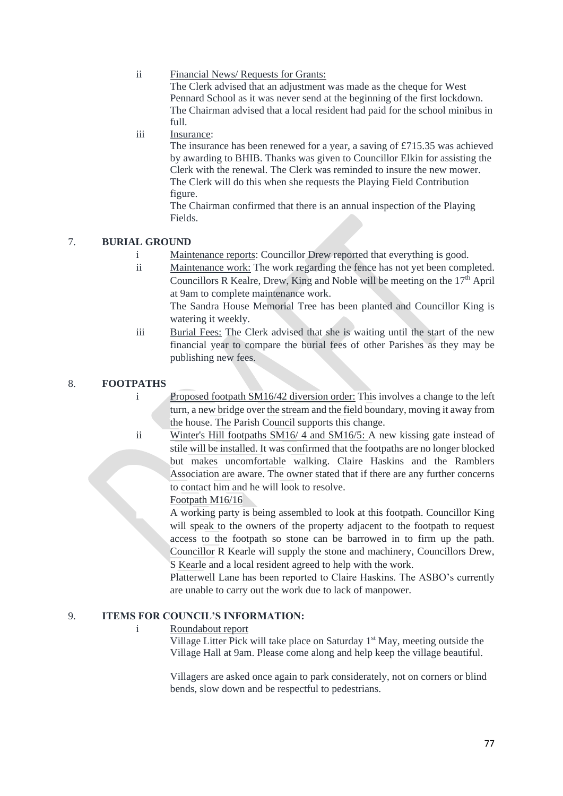### ii Financial News/ Requests for Grants:

The Clerk advised that an adjustment was made as the cheque for West Pennard School as it was never send at the beginning of the first lockdown. The Chairman advised that a local resident had paid for the school minibus in full.

# iii Insurance:

The insurance has been renewed for a year, a saving of £715.35 was achieved by awarding to BHIB. Thanks was given to Councillor Elkin for assisting the Clerk with the renewal. The Clerk was reminded to insure the new mower. The Clerk will do this when she requests the Playing Field Contribution figure.

The Chairman confirmed that there is an annual inspection of the Playing Fields.

# 7. **BURIAL GROUND**

- i Maintenance reports: Councillor Drew reported that everything is good.
- ii Maintenance work: The work regarding the fence has not yet been completed. Councillors R Kealre, Drew, King and Noble will be meeting on the  $17<sup>th</sup>$  April at 9am to complete maintenance work.

The Sandra House Memorial Tree has been planted and Councillor King is watering it weekly.

iii Burial Fees: The Clerk advised that she is waiting until the start of the new financial year to compare the burial fees of other Parishes as they may be publishing new fees.

# 8. **FOOTPATHS**

i Proposed footpath SM16/42 diversion order: This involves a change to the left turn, a new bridge over the stream and the field boundary, moving it away from the house. The Parish Council supports this change.

ii Winter's Hill footpaths SM16/ 4 and SM16/5: A new kissing gate instead of stile will be installed. It was confirmed that the footpaths are no longer blocked but makes uncomfortable walking. Claire Haskins and the Ramblers Association are aware. The owner stated that if there are any further concerns to contact him and he will look to resolve.

## Footpath M16/16

A working party is being assembled to look at this footpath. Councillor King will speak to the owners of the property adjacent to the footpath to request access to the footpath so stone can be barrowed in to firm up the path. Councillor R Kearle will supply the stone and machinery, Councillors Drew, S Kearle and a local resident agreed to help with the work.

Platterwell Lane has been reported to Claire Haskins. The ASBO's currently are unable to carry out the work due to lack of manpower.

## 9. **ITEMS FOR COUNCIL'S INFORMATION:**

## i Roundabout report

Village Litter Pick will take place on Saturday  $1<sup>st</sup>$  May, meeting outside the Village Hall at 9am. Please come along and help keep the village beautiful.

Villagers are asked once again to park considerately, not on corners or blind bends, slow down and be respectful to pedestrians.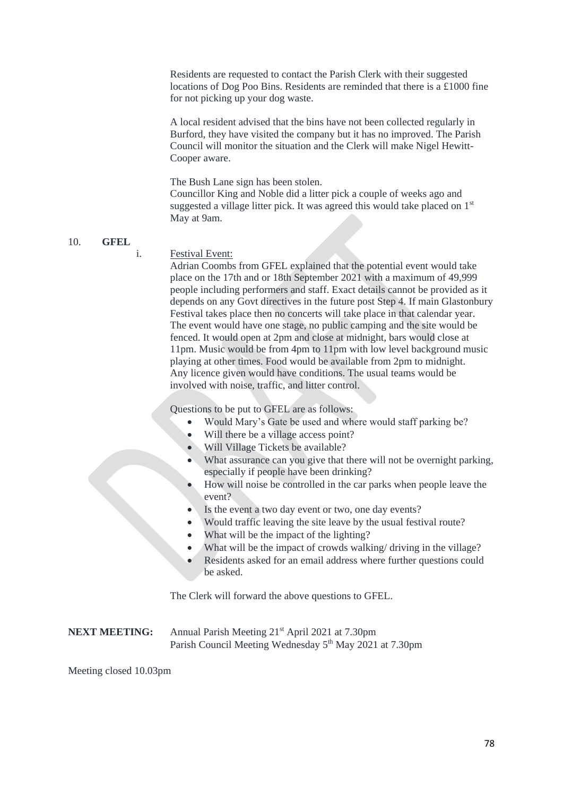Residents are requested to contact the Parish Clerk with their suggested locations of Dog Poo Bins. Residents are reminded that there is a £1000 fine for not picking up your dog waste.

A local resident advised that the bins have not been collected regularly in Burford, they have visited the company but it has no improved. The Parish Council will monitor the situation and the Clerk will make Nigel Hewitt-Cooper aware.

The Bush Lane sign has been stolen. Councillor King and Noble did a litter pick a couple of weeks ago and suggested a village litter pick. It was agreed this would take placed on  $1<sup>st</sup>$ May at 9am.

#### 10. **GFEL**

#### i. Festival Event:

Adrian Coombs from GFEL explained that the potential event would take place on the 17th and or 18th September 2021 with a maximum of 49,999 people including performers and staff. Exact details cannot be provided as it depends on any Govt directives in the future post Step 4. If main Glastonbury Festival takes place then no concerts will take place in that calendar year. The event would have one stage, no public camping and the site would be fenced. It would open at 2pm and close at midnight, bars would close at 11pm. Music would be from 4pm to 11pm with low level background music playing at other times. Food would be available from 2pm to midnight. Any licence given would have conditions. The usual teams would be involved with noise, traffic, and litter control.

Questions to be put to GFEL are as follows:

- Would Mary's Gate be used and where would staff parking be?
- Will there be a village access point?
- Will Village Tickets be available?
- What assurance can you give that there will not be overnight parking, especially if people have been drinking?
- How will noise be controlled in the car parks when people leave the event?
- Is the event a two day event or two, one day events?
- Would traffic leaving the site leave by the usual festival route?
- What will be the impact of the lighting?
- What will be the impact of crowds walking/ driving in the village?
- Residents asked for an email address where further questions could be asked.

The Clerk will forward the above questions to GFEL.

**NEXT MEETING:** Annual Parish Meeting 21<sup>st</sup> April 2021 at 7.30pm Parish Council Meeting Wednesday 5<sup>th</sup> May 2021 at 7.30pm

Meeting closed 10.03pm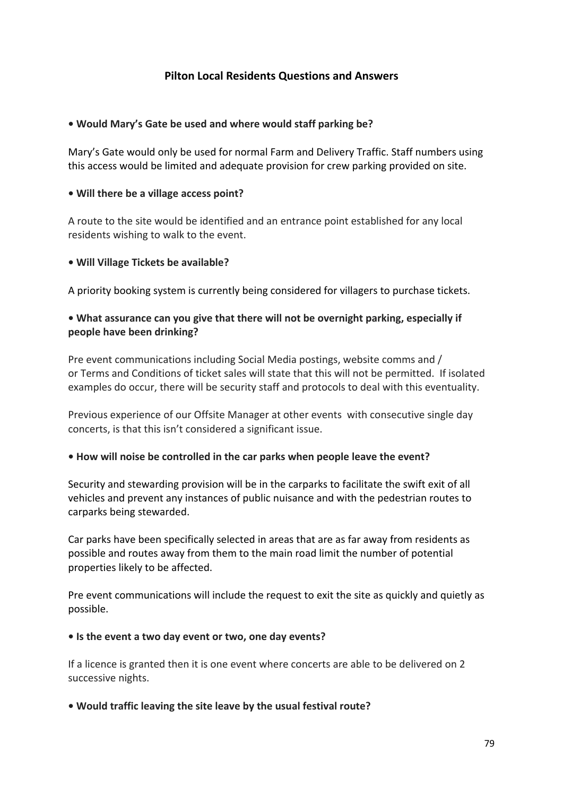# **Pilton Local Residents Questions and Answers**

# **• Would Mary's Gate be used and where would staff parking be?**

Mary's Gate would only be used for normal Farm and Delivery Traffic. Staff numbers using this access would be limited and adequate provision for crew parking provided on site.

# **• Will there be a village access point?**

A route to the site would be identified and an entrance point established for any local residents wishing to walk to the event.

# **• Will Village Tickets be available?**

A priority booking system is currently being considered for villagers to purchase tickets.

# **• What assurance can you give that there will not be overnight parking, especially if people have been drinking?**

Pre event communications including Social Media postings, website comms and / or Terms and Conditions of ticket sales will state that this will not be permitted. If isolated examples do occur, there will be security staff and protocols to deal with this eventuality.

Previous experience of our Offsite Manager at other events with consecutive single day concerts, is that this isn't considered a significant issue.

## **• How will noise be controlled in the car parks when people leave the event?**

Security and stewarding provision will be in the carparks to facilitate the swift exit of all vehicles and prevent any instances of public nuisance and with the pedestrian routes to carparks being stewarded.

Car parks have been specifically selected in areas that are as far away from residents as possible and routes away from them to the main road limit the number of potential properties likely to be affected.

Pre event communications will include the request to exit the site as quickly and quietly as possible.

## **• Is the event a two day event or two, one day events?**

If a licence is granted then it is one event where concerts are able to be delivered on 2 successive nights.

# **• Would traffic leaving the site leave by the usual festival route?**